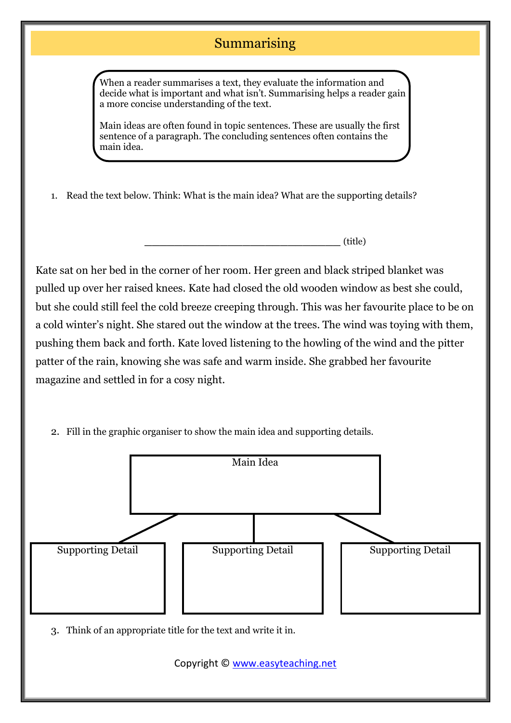## Summarising

When a reader summarises a text, they evaluate the information and decide what is important and what isn't. Summarising helps a reader gain a more concise understanding of the text.

Main ideas are often found in topic sentences. These are usually the first sentence of a paragraph. The concluding sentences often contains the main idea.

1. Read the text below. Think: What is the main idea? What are the supporting details?

**\_\_\_\_\_\_\_\_\_\_\_\_\_\_\_\_\_\_\_\_\_\_\_\_\_\_** (title)

Kate sat on her bed in the corner of her room. Her green and black striped blanket was pulled up over her raised knees. Kate had closed the old wooden window as best she could, but she could still feel the cold breeze creeping through. This was her favourite place to be on a cold winter's night. She stared out the window at the trees. The wind was toying with them, pushing them back and forth. Kate loved listening to the howling of the wind and the pitter patter of the rain, knowing she was safe and warm inside. She grabbed her favourite magazine and settled in for a cosy night.

2. Fill in the graphic organiser to show the main idea and supporting details.



Copyright © [www.easyteaching.net](http://www.easyteaching.net/)